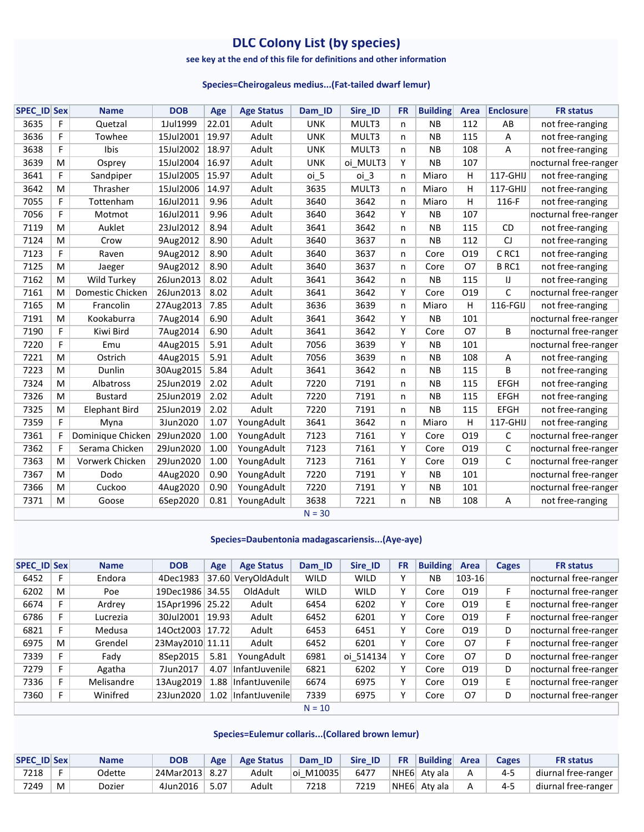# **DLC Colony List (by species)**

#### **see key at the end of this file for definitions and other information**

#### **Species=Cheirogaleus medius...(Fat-tailed dwarf lemur)**

| <b>SPEC_ID Sex</b> |   | <b>Name</b>          | <b>DOB</b> | Age   | <b>Age Status</b> | Dam ID     | Sire_ID         | <b>FR</b> | <b>Building</b> | Area            | <b>Enclosure</b> | <b>FR status</b>      |
|--------------------|---|----------------------|------------|-------|-------------------|------------|-----------------|-----------|-----------------|-----------------|------------------|-----------------------|
| 3635               | F | Quetzal              | 1Jul1999   | 22.01 | Adult             | <b>UNK</b> | MULT3           | n.        | <b>NB</b>       | 112             | AB               | not free-ranging      |
| 3636               | F | Towhee               | 15Jul2001  | 19.97 | Adult             | <b>UNK</b> | MULT3           | n         | <b>NB</b>       | 115             | A                | not free-ranging      |
| 3638               | F | Ibis                 | 15Jul2002  | 18.97 | Adult             | <b>UNK</b> | MULT3           | n         | <b>NB</b>       | 108             | A                | not free-ranging      |
| 3639               | M | Osprey               | 15Jul2004  | 16.97 | Adult             | <b>UNK</b> | oi MULT3        | Y         | <b>NB</b>       | 107             |                  | nocturnal free-ranger |
| 3641               | F | Sandpiper            | 15Jul2005  | 15.97 | Adult             | oi 5       | oi <sub>3</sub> | n.        | Miaro           | н               | 117-GHIJ         | not free-ranging      |
| 3642               | M | Thrasher             | 15Jul2006  | 14.97 | Adult             | 3635       | MULT3           | n         | Miaro           | н               | 117-GHIJ         | not free-ranging      |
| 7055               | F | Tottenham            | 16Jul2011  | 9.96  | Adult             | 3640       | 3642            | n         | Miaro           | н               | 116-F            | not free-ranging      |
| 7056               | F | Motmot               | 16Jul2011  | 9.96  | Adult             | 3640       | 3642            | Y         | <b>NB</b>       | 107             |                  | nocturnal free-ranger |
| 7119               | M | Auklet               | 23Jul2012  | 8.94  | Adult             | 3641       | 3642            | n         | <b>NB</b>       | 115             | CD               | not free-ranging      |
| 7124               | M | Crow                 | 9Aug2012   | 8.90  | Adult             | 3640       | 3637            | n         | <b>NB</b>       | 112             | CJ               | not free-ranging      |
| 7123               | F | Raven                | 9Aug2012   | 8.90  | Adult             | 3640       | 3637            | n         | Core            | 019             | CRC1             | not free-ranging      |
| 7125               | M | Jaeger               | 9Aug2012   | 8.90  | Adult             | 3640       | 3637            | n.        | Core            | <b>O7</b>       | BRC1             | not free-ranging      |
| 7162               | M | Wild Turkey          | 26Jun2013  | 8.02  | Adult             | 3641       | 3642            | n.        | <b>NB</b>       | 115             | $\mathsf{U}$     | not free-ranging      |
| 7161               | M | Domestic Chicken     | 26Jun2013  | 8.02  | Adult             | 3641       | 3642            | Y         | Core            | O19             | $\mathsf C$      | nocturnal free-ranger |
| 7165               | M | Francolin            | 27Aug2013  | 7.85  | Adult             | 3636       | 3639            | n         | Miaro           | Η               | 116-FGIJ         | not free-ranging      |
| 7191               | M | Kookaburra           | 7Aug2014   | 6.90  | Adult             | 3641       | 3642            | Y         | <b>NB</b>       | 101             |                  | nocturnal free-ranger |
| 7190               | F | Kiwi Bird            | 7Aug2014   | 6.90  | Adult             | 3641       | 3642            | Y         | Core            | <b>O7</b>       | B                | nocturnal free-ranger |
| 7220               | F | Emu                  | 4Aug2015   | 5.91  | Adult             | 7056       | 3639            | Y         | <b>NB</b>       | 101             |                  | nocturnal free-ranger |
| 7221               | M | Ostrich              | 4Aug2015   | 5.91  | Adult             | 7056       | 3639            | n         | <b>NB</b>       | 108             | A                | not free-ranging      |
| 7223               | M | Dunlin               | 30Aug2015  | 5.84  | Adult             | 3641       | 3642            | n         | <b>NB</b>       | 115             | B                | not free-ranging      |
| 7324               | M | Albatross            | 25Jun2019  | 2.02  | Adult             | 7220       | 7191            | n         | <b>NB</b>       | 115             | <b>EFGH</b>      | not free-ranging      |
| 7326               | M | <b>Bustard</b>       | 25Jun2019  | 2.02  | Adult             | 7220       | 7191            | n         | <b>NB</b>       | 115             | <b>EFGH</b>      | not free-ranging      |
| 7325               | M | <b>Elephant Bird</b> | 25Jun2019  | 2.02  | Adult             | 7220       | 7191            | n.        | <b>NB</b>       | 115             | EFGH             | not free-ranging      |
| 7359               | F | Myna                 | 3Jun2020   | 1.07  | YoungAdult        | 3641       | 3642            | n         | Miaro           | Η               | 117-GHIJ         | not free-ranging      |
| 7361               | F | Dominique Chicken    | 29Jun2020  | 1.00  | YoungAdult        | 7123       | 7161            | Y         | Core            | O <sub>19</sub> | C                | nocturnal free-ranger |
| 7362               | F | Serama Chicken       | 29Jun2020  | 1.00  | YoungAdult        | 7123       | 7161            | Y         | Core            | O19             | C                | nocturnal free-ranger |
| 7363               | M | Vorwerk Chicken      | 29Jun2020  | 1.00  | YoungAdult        | 7123       | 7161            | Υ         | Core            | 019             | C                | nocturnal free-ranger |
| 7367               | M | Dodo                 | 4Aug2020   | 0.90  | YoungAdult        | 7220       | 7191            | Y         | <b>NB</b>       | 101             |                  | nocturnal free-ranger |
| 7366               | M | Cuckoo               | 4Aug2020   | 0.90  | YoungAdult        | 7220       | 7191            | Y         | <b>NB</b>       | 101             |                  | nocturnal free-ranger |
| 7371               | M | Goose                | 6Sep2020   | 0.81  | YoungAdult        | 3638       | 7221            | n         | <b>NB</b>       | 108             | A                | not free-ranging      |
|                    |   |                      |            |       |                   | $N = 30$   |                 |           |                 |                 |                  |                       |

#### **Species=Daubentonia madagascariensis...(Aye-aye)**

| <b>SPEC ID Sex</b> |    | <b>Name</b> | <b>DOB</b>      | Age   | <b>Age Status</b> | Dam ID      | Sire ID     | <b>FR</b> | <b>Building</b> | Area       | Cages | <b>FR</b> status      |
|--------------------|----|-------------|-----------------|-------|-------------------|-------------|-------------|-----------|-----------------|------------|-------|-----------------------|
| 6452               | F  | Endora      | 4Dec1983        | 37.60 | VeryOldAdult      | <b>WILD</b> | <b>WILD</b> | Y         | <b>NB</b>       | $103 - 16$ |       | nocturnal free-ranger |
| 6202               | M  | Poe         | 19Dec1986 34.55 |       | OldAdult          | <b>WILD</b> | <b>WILD</b> | Y         | Core            | 019        | F     | nocturnal free-ranger |
| 6674               |    | Ardrey      | 15Apr1996       | 25.22 | Adult             | 6454        | 6202        | Y         | Core            | 019        | E.    | nocturnal free-ranger |
| 6786               |    | Lucrezia    | 30Jul2001       | 19.93 | Adult             | 6452        | 6201        | Y         | Core            | 019        | F     | nocturnal free-ranger |
| 6821               | F  | Medusa      | 14Oct2003       | 17.72 | Adult             | 6453        | 6451        | Y         | Core            | 019        | D     | nocturnal free-ranger |
| 6975               | M  | Grendel     | 23May2010 11.11 |       | Adult             | 6452        | 6201        | Y         | Core            | 07         | F     | nocturnal free-ranger |
| 7339               | F  | Fady        | 8Sep2015        | 5.81  | YoungAdult        | 6981        | oi 514134   | v         | Core            | 07         | D     | nocturnal free-ranger |
| 7279               | F  | Agatha      | 7Jun2017        | 4.07  | InfantJuvenile    | 6821        | 6202        | Y         | Core            | 019        | D     | nocturnal free-ranger |
| 7336               | F. | Melisandre  | 13Aug2019       | 1.88  | InfantJuvenile    | 6674        | 6975        | Y         | Core            | 019        | E.    | nocturnal free-ranger |
| 7360               | F. | Winifred    | 23Jun2020       | 1.02  | InfantJuvenile    | 7339        | 6975        | v         | Core            | 07         | D     | nocturnal free-ranger |
|                    |    |             |                 |       |                   | $N = 10$    |             |           |                 |            |       |                       |

**Species=Eulemur collaris...(Collared brown lemur)**

| <b>SPEC ID Sex</b> |   | <b>Name</b> | DOB            | Age  | <b>Age Status</b> | Dam ID     | Sire <b>ID</b> | <b>FR</b> | <b>Building Area</b>                 |   | <b>Cages</b> | <b>FR status</b>    |
|--------------------|---|-------------|----------------|------|-------------------|------------|----------------|-----------|--------------------------------------|---|--------------|---------------------|
| 7218               |   | Odette      | 24Mar2013 8.27 |      | Adult             | loi M10035 | 6477           |           | $\vert$ NHE6 $\vert$ Aty ala $\vert$ | A | $4 - 5$      | diurnal free-ranger |
| 7249               | M | Dozier      | 4Jun2016       | 5.07 | Adult             | 7218       | 7219           |           | NHE6 Aty ala                         | А | 4-5          | diurnal free-ranger |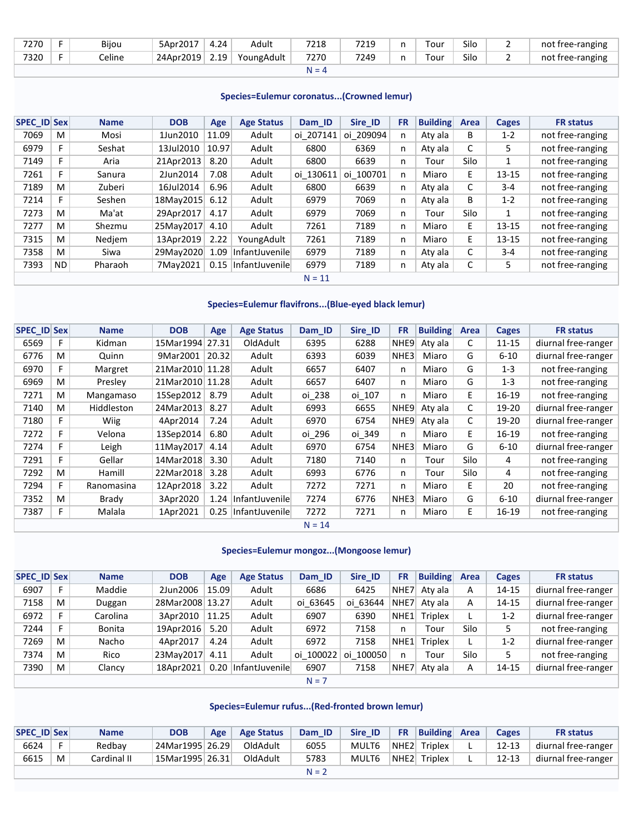| 7270 | Bijou  | 5Apr2017  | 4.24 | Adult      | 7218    | 7219 | n | Tour       | Silo | not free-ranging |
|------|--------|-----------|------|------------|---------|------|---|------------|------|------------------|
| 7320 | Celine | 24Apr2019 | 2.19 | YoungAdult | 7270    | 7249 | n | $\tau$ our | Silo | not free-ranging |
|      |        |           |      |            | $N = 4$ |      |   |            |      |                  |

| <b>SPEC ID Sex</b> |     | <b>Name</b> | <b>DOB</b> | Age   | <b>Age Status</b> | Dam ID    | Sire ID   | <b>FR</b> | <b>Building</b> | Area | <b>Cages</b> | <b>FR</b> status |
|--------------------|-----|-------------|------------|-------|-------------------|-----------|-----------|-----------|-----------------|------|--------------|------------------|
| 7069               | M   | Mosi        | 1Jun2010   | 11.09 | Adult             | oi 207141 | oi 209094 | n         | Aty ala         | В    | $1 - 2$      | not free-ranging |
| 6979               | F   | Seshat      | 13Jul2010  | 10.97 | Adult             | 6800      | 6369      | n         | Aty ala         | C    | 5            | not free-ranging |
| 7149               | F   | Aria        | 21Apr2013  | 8.20  | Adult             | 6800      | 6639      | n         | Tour            | Silo | 1            | not free-ranging |
| 7261               | F   | Sanura      | 2Jun2014   | 7.08  | Adult             | oi 130611 | oi 100701 | n         | Miaro           | E.   | $13 - 15$    | not free-ranging |
| 7189               | M   | Zuberi      | 16Jul2014  | 6.96  | Adult             | 6800      | 6639      | n         | Aty ala         | C    | $3 - 4$      | not free-ranging |
| 7214               | F   | Seshen      | 18May2015  | 6.12  | Adult             | 6979      | 7069      | n         | Aty ala         | B    | $1 - 2$      | not free-ranging |
| 7273               | M   | Ma'at       | 29Apr2017  | 4.17  | Adult             | 6979      | 7069      | n         | Tour            | Silo |              | not free-ranging |
| 7277               | M   | Shezmu      | 25May2017  | 4.10  | Adult             | 7261      | 7189      | n         | Miaro           | E.   | $13 - 15$    | not free-ranging |
| 7315               | M   | Nedjem      | 13Apr2019  | 2.22  | YoungAdult        | 7261      | 7189      | n         | Miaro           | E.   | $13 - 15$    | not free-ranging |
| 7358               | M   | Siwa        | 29Mav2020  | 1.09  | InfantJuvenile    | 6979      | 7189      | n         | Aty ala         | C    | $3 - 4$      | not free-ranging |
| 7393               | ND. | Pharaoh     | 7May2021   | 0.15  | InfantJuvenile    | 6979      | 7189      | n         | Aty ala         | С    | 5            | not free-ranging |
|                    |     |             |            |       |                   | $N = 11$  |           |           |                 |      |              |                  |

## **Species=Eulemur flavifrons...(Blue-eyed black lemur)**

| <b>SPEC_ID Sex</b> |   | <b>Name</b> | <b>DOB</b>      | Age   | <b>Age Status</b> | Dam ID   | Sire ID | <b>FR</b> | <b>Building</b> | Area | <b>Cages</b> | <b>FR status</b>    |
|--------------------|---|-------------|-----------------|-------|-------------------|----------|---------|-----------|-----------------|------|--------------|---------------------|
| 6569               | F | Kidman      | 15Mar1994 27.31 |       | OldAdult          | 6395     | 6288    | NHE9      | Aty ala         | C    | $11 - 15$    | diurnal free-ranger |
| 6776               | M | Quinn       | 9Mar2001        | 20.32 | Adult             | 6393     | 6039    | NHE3      | Miaro           | G    | $6 - 10$     | diurnal free-ranger |
| 6970               | F | Margret     | 21Mar2010 11.28 |       | Adult             | 6657     | 6407    | n         | Miaro           | G    | $1 - 3$      | not free-ranging    |
| 6969               | M | Presley     | 21Mar2010 11.28 |       | Adult             | 6657     | 6407    | n.        | Miaro           | G    | $1 - 3$      | not free-ranging    |
| 7271               | M | Mangamaso   | 15Sep2012       | 8.79  | Adult             | oi 238   | oi 107  | n.        | Miaro           | E.   | 16-19        | not free-ranging    |
| 7140               | M | Hiddleston  | 24Mar2013       | 8.27  | Adult             | 6993     | 6655    | NHE9      | Aty ala         | С    | 19-20        | diurnal free-ranger |
| 7180               | F | <b>Wiig</b> | 4Apr2014        | 7.24  | Adult             | 6970     | 6754    | NHE9      | Aty ala         | C    | 19-20        | diurnal free-ranger |
| 7272               | F | Velona      | 13Sep2014       | 6.80  | Adult             | oi 296   | oi 349  | n.        | Miaro           | E.   | 16-19        | not free-ranging    |
| 7274               | F | Leigh       | 11May2017       | 4.14  | Adult             | 6970     | 6754    | NHE3      | Miaro           | G    | $6 - 10$     | diurnal free-ranger |
| 7291               | F | Gellar      | 14Mar2018       | 3.30  | Adult             | 7180     | 7140    | n         | Tour            | Silo | 4            | not free-ranging    |
| 7292               | M | Hamill      | 22Mar2018       | 3.28  | Adult             | 6993     | 6776    | n         | Tour            | Silo | 4            | not free-ranging    |
| 7294               | F | Ranomasina  | 12Apr2018       | 3.22  | Adult             | 7272     | 7271    | n.        | Miaro           | E.   | 20           | not free-ranging    |
| 7352               | M | Brady       | 3Apr2020        | 1.24  | InfantJuvenile    | 7274     | 6776    | NHE3      | Miaro           | G    | $6 - 10$     | diurnal free-ranger |
| 7387               | F | Malala      | 1Apr2021        | 0.25  | InfantJuvenile    | 7272     | 7271    | n         | Miaro           | E.   | 16-19        | not free-ranging    |
|                    |   |             |                 |       |                   | $N = 14$ |         |           |                 |      |              |                     |

### **Species=Eulemur mongoz...(Mongoose lemur)**

| SPEC ID Sex |   | <b>Name</b>   | <b>DOB</b>      | Age   | <b>Age Status</b> | Dam ID    | Sire ID   | <b>FR</b>        | <b>Building</b> | Area | Cages     | <b>FR</b> status    |
|-------------|---|---------------|-----------------|-------|-------------------|-----------|-----------|------------------|-----------------|------|-----------|---------------------|
| 6907        | F | Maddie        | 2Jun2006        | 15.09 | Adult             | 6686      | 6425      | NHE7             | Aty ala         | A    | 14-15     | diurnal free-ranger |
| 7158        | M | Duggan        | 28Mar2008 13.27 |       | Adult             | oi 63645  | oi 63644  | NHE7             | Atv ala         | A    | 14-15     | diurnal free-ranger |
| 6972        | Е | Carolina      | 3Apr2010        | 11.25 | Adult             | 6907      | 6390      | NHE <sub>1</sub> | <b>Triplex</b>  | L.   | $1 - 2$   | diurnal free-ranger |
| 7244        | F | <b>Bonita</b> | 19Apr2016       | 5.20  | Adult             | 6972      | 7158      | n.               | Tour            | Silo |           | not free-ranging    |
| 7269        | M | Nacho         | 4Apr2017        | 4.24  | Adult             | 6972      | 7158      | NHE <sub>1</sub> | <b>Triplex</b>  |      | $1 - 2$   | diurnal free-ranger |
| 7374        | M | Rico          | 23May2017       | 4.11  | Adult             | oi 100022 | oi 100050 | n                | Tour            | Silo |           | not free-ranging    |
| 7390        | M | Clancy        | 18Apr2021       | 0.20  | InfantJuvenile    | 6907      | 7158      | NHE7             | Aty ala         | A    | $14 - 15$ | diurnal free-ranger |
|             |   |               |                 |       |                   | $N = 7$   |           |                  |                 |      |           |                     |

## **Species=Eulemur rufus...(Red-fronted brown lemur)**

| <b>SPEC ID Sex</b> |   | <b>Name</b> | <b>DOB</b>      | Age | <b>Age Status</b> | Dam ID  | Sire ID | <b>FR</b> | <b>Building Area</b> | Cages     | <b>FR</b> status    |
|--------------------|---|-------------|-----------------|-----|-------------------|---------|---------|-----------|----------------------|-----------|---------------------|
| 6624               |   | Redbay      | 24Mar1995 26.29 |     | OldAdult          | 6055    | MULT6   |           | NHE2 Triplex         | $12 - 13$ | diurnal free-ranger |
| 6615               | M | Cardinal II | 15Mar1995 26.31 |     | OldAdult          | 5783    | MULT6   | NHE2      | <b>Triplex</b>       | $12 - 13$ | diurnal free-ranger |
|                    |   |             |                 |     |                   | $N = 2$ |         |           |                      |           |                     |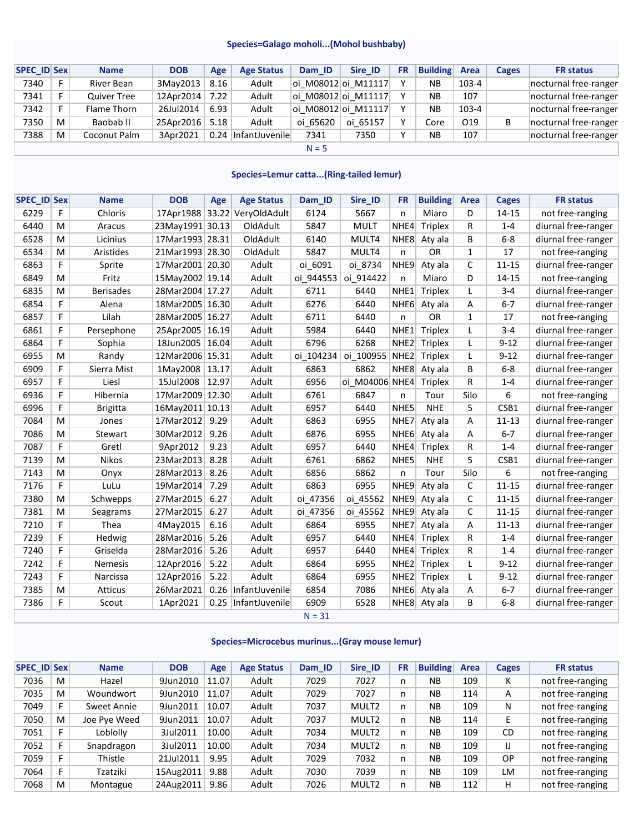#### **Species=Galago moholi...(Mohol bushbaby)**

| SPEC ID Sex |    | <b>Name</b>        | <b>DOB</b>     | Age  | <b>Age Status</b>   | Dam ID   | Sire ID             | <b>FR</b> | <b>Building Area</b> |       | Cages | <b>FR</b> status      |
|-------------|----|--------------------|----------------|------|---------------------|----------|---------------------|-----------|----------------------|-------|-------|-----------------------|
| 7340        |    | River Bean         | 3Mav2013       | 8.16 | Adult               |          | oi M08012 oi M11117 | v         | <b>NB</b>            | 103-4 |       | nocturnal free-ranger |
| 7341        |    | <b>Quiver Tree</b> | 12Apr2014      | 7.22 | Adult               |          | oi M08012 oi M11117 |           | <b>NB</b>            | 107   |       | nocturnal free-ranger |
| 7342        | E. | Flame Thorn        | 26Jul2014      | 6.93 | Adult               |          | oi M08012 oi M11117 |           | <b>NB</b>            | 103-4 |       | nocturnal free-ranger |
| 7350        | M  | Baobab II          | 25Apr2016 5.18 |      | Adult               | oi 65620 | oi 65157            | v         | Core                 | O19   | В     | nocturnal free-ranger |
| 7388        | M  | Coconut Palm       | 3Apr2021       |      | 0.24 InfantJuvenile | 7341     | 7350                | v         | <b>NB</b>            | 107   |       | nocturnal free-ranger |
|             |    |                    |                |      |                     | $N = 5$  |                     |           |                      |       |       |                       |

#### **Species=Lemur catta...(Ring-tailed lemur)**

| <b>SPEC ID Sex</b> |   | <b>Name</b>      | <b>DOB</b>        | Age  | <b>Age Status</b>            | Dam_ID    | Sire_ID        | <b>FR</b>        | <b>Building</b> | Area         | <b>Cages</b> | <b>FR status</b>    |
|--------------------|---|------------------|-------------------|------|------------------------------|-----------|----------------|------------------|-----------------|--------------|--------------|---------------------|
| 6229               | F | Chloris          |                   |      | 17Apr1988 33.22 VeryOldAdult | 6124      | 5667           | n                | Miaro           | D            | 14-15        | not free-ranging    |
| 6440               | M | Aracus           | 23May1991 30.13   |      | OldAdult                     | 5847      | <b>MULT</b>    | NHE4             | <b>Triplex</b>  | R            | $1 - 4$      | diurnal free-ranger |
| 6528               | M | Licinius         | 17Mar1993 28.31   |      | OldAdult                     | 6140      | MULT4          | NHE8             | Aty ala         | B            | $6 - 8$      | diurnal free-ranger |
| 6534               | M | Aristides        | 21Mar1993 28.30   |      | OldAdult                     | 5847      | MULT4          | n                | <b>OR</b>       | $\mathbf{1}$ | 17           | not free-ranging    |
| 6863               | F | Sprite           | 17Mar2001 20.30   |      | Adult                        | oi 6091   | oi 8734        | NHE9             | Aty ala         | C            | $11 - 15$    | diurnal free-ranger |
| 6849               | M | Fritz            | 15May2002 19.14   |      | Adult                        | oi_944553 | oi 914422      | n                | Miaro           | D            | 14-15        | not free-ranging    |
| 6835               | M | <b>Berisades</b> | 28Mar2004 17.27   |      | Adult                        | 6711      | 6440           | NHE <sub>1</sub> | <b>Triplex</b>  | L            | $3 - 4$      | diurnal free-ranger |
| 6854               | F | Alena            | 18Mar2005 16.30   |      | Adult                        | 6276      | 6440           | NHE <sub>6</sub> | Aty ala         | Α            | $6 - 7$      | diurnal free-ranger |
| 6857               | F | Lilah            | 28Mar2005 16.27   |      | Adult                        | 6711      | 6440           | n                | OR              | 1            | 17           | not free-ranging    |
| 6861               | F | Persephone       | 25Apr2005 16.19   |      | Adult                        | 5984      | 6440           | NHE <sub>1</sub> | <b>Triplex</b>  | L            | $3 - 4$      | diurnal free-ranger |
| 6864               | F | Sophia           | 18Jun2005 16.04   |      | Adult                        | 6796      | 6268           | NHE <sub>2</sub> | <b>Triplex</b>  | L            | $9 - 12$     | diurnal free-ranger |
| 6955               | M | Randy            | 12Mar2006 15.31   |      | Adult                        | oi 104234 | oi_100955      | NHE <sub>2</sub> | <b>Triplex</b>  | L            | $9 - 12$     | diurnal free-ranger |
| 6909               | F | Sierra Mist      | 1May2008 13.17    |      | Adult                        | 6863      | 6862           | NHE8             | Aty ala         | B            | $6 - 8$      | diurnal free-ranger |
| 6957               | F | Liesl            | 15Jul2008   12.97 |      | Adult                        | 6956      | oi M04006 NHE4 |                  | <b>Triplex</b>  | R            | $1 - 4$      | diurnal free-ranger |
| 6936               | F | Hibernia         | 17Mar2009 12.30   |      | Adult                        | 6761      | 6847           | n                | Tour            | Silo         | 6            | not free-ranging    |
| 6996               | F | <b>Brigitta</b>  | 16May2011 10.13   |      | Adult                        | 6957      | 6440           | NHE5             | <b>NHE</b>      | 5            | CSB1         | diurnal free-ranger |
| 7084               | M | Jones            | 17Mar2012         | 9.29 | Adult                        | 6863      | 6955           | NHE7             | Aty ala         | Α            | $11 - 13$    | diurnal free-ranger |
| 7086               | M | Stewart          | 30Mar2012         | 9.26 | Adult                        | 6876      | 6955           | NHE <sub>6</sub> | Aty ala         | Α            | $6 - 7$      | diurnal free-ranger |
| 7087               | F | Gretl            | 9Apr2012          | 9.23 | Adult                        | 6957      | 6440           | NHE4             | <b>Triplex</b>  | R            | $1 - 4$      | diurnal free-ranger |
| 7139               | M | Nikos            | 23Mar2013         | 8.28 | Adult                        | 6761      | 6862           | NHE5             | <b>NHE</b>      | 5            | CSB1         | diurnal free-ranger |
| 7143               | M | Onyx             | 28Mar2013         | 8.26 | Adult                        | 6856      | 6862           | n                | Tour            | Silo         | 6            | not free-ranging    |
| 7176               | F | LuLu             | 19Mar2014         | 7.29 | Adult                        | 6863      | 6955           | NHE9             | Aty ala         | C            | $11 - 15$    | diurnal free-ranger |
| 7380               | M | Schwepps         | 27Mar2015         | 6.27 | Adult                        | oi 47356  | oi 45562       | NHE9             | Aty ala         | С            | $11 - 15$    | diurnal free-ranger |
| 7381               | M | Seagrams         | 27Mar2015         | 6.27 | Adult                        | oi_47356  | oi_45562       | NHE9             | Aty ala         | C            | $11 - 15$    | diurnal free-ranger |
| 7210               | F | Thea             | 4May2015          | 6.16 | Adult                        | 6864      | 6955           | NHE7             | Aty ala         | A            | $11 - 13$    | diurnal free-ranger |
| 7239               | F | Hedwig           | 28Mar2016         | 5.26 | Adult                        | 6957      | 6440           | NHE4             | <b>Triplex</b>  | R            | $1 - 4$      | diurnal free-ranger |
| 7240               | F | Griselda         | 28Mar2016         | 5.26 | Adult                        | 6957      | 6440           | NHE4             | <b>Triplex</b>  | R            | $1 - 4$      | diurnal free-ranger |
| 7242               | F | <b>Nemesis</b>   | 12Apr2016         | 5.22 | Adult                        | 6864      | 6955           | NHE <sub>2</sub> | <b>Triplex</b>  | L            | $9 - 12$     | diurnal free-ranger |
| 7243               | F | Narcissa         | 12Apr2016         | 5.22 | Adult                        | 6864      | 6955           | NHE <sub>2</sub> | <b>Triplex</b>  | L            | $9 - 12$     | diurnal free-ranger |
| 7385               | M | Atticus          | 26Mar2021         | 0.26 | InfantJuvenile               | 6854      | 7086           | NHE <sub>6</sub> | Aty ala         | A            | $6 - 7$      | diurnal free-ranger |
| 7386               | F | Scout            | 1Apr2021          | 0.25 | InfantJuvenile               | 6909      | 6528           | NHE8             | Aty ala         | B            | $6 - 8$      | diurnal free-ranger |
|                    |   |                  |                   |      |                              | $N = 31$  |                |                  |                 |              |              |                     |

#### **Species=Microcebus murinus...(Gray mouse lemur)**

| <b>SPEC ID Sex</b> |   | <b>Name</b>  | <b>DOB</b> | Age   | <b>Age Status</b> | Dam ID | Sire ID           | <b>FR</b> | <b>Building</b> | Area | Cages     | <b>FR</b> status |
|--------------------|---|--------------|------------|-------|-------------------|--------|-------------------|-----------|-----------------|------|-----------|------------------|
| 7036               | M | Hazel        | 9Jun2010   | 11.07 | Adult             | 7029   | 7027              | n         | <b>NB</b>       | 109  | K         | not free-ranging |
| 7035               | M | Woundwort    | 9Jun2010   | 11.07 | Adult             | 7029   | 7027              | n.        | <b>NB</b>       | 114  | A         | not free-ranging |
| 7049               | Е | Sweet Annie  | 9Jun2011   | 10.07 | Adult             | 7037   | MULT <sub>2</sub> | n.        | <b>NB</b>       | 109  | N         | not free-ranging |
| 7050               | M | Joe Pye Weed | 9Jun2011   | 10.07 | Adult             | 7037   | MULT <sub>2</sub> | n         | <b>NB</b>       | 114  | E         | not free-ranging |
| 7051               | Е | Loblolly     | 3Jul2011   | 10.00 | Adult             | 7034   | MULT <sub>2</sub> | n.        | <b>NB</b>       | 109  | <b>CD</b> | not free-ranging |
| 7052               | F | Snapdragon   | 3Jul2011   | 10.00 | Adult             | 7034   | MULT <sub>2</sub> | n.        | <b>NB</b>       | 109  | IJ        | not free-ranging |
| 7059               | F | Thistle      | 21Jul2011  | 9.95  | Adult             | 7029   | 7032              | n.        | <b>NB</b>       | 109  | OP        | not free-ranging |
| 7064               | Е | Tzatziki     | 15Aug2011  | 9.88  | Adult             | 7030   | 7039              | n.        | <b>NB</b>       | 109  | LM        | not free-ranging |
| 7068               | M | Montague     | 24Aug2011  | 9.86  | Adult             | 7026   | MULT <sub>2</sub> | n.        | <b>NB</b>       | 112  | н         | not free-ranging |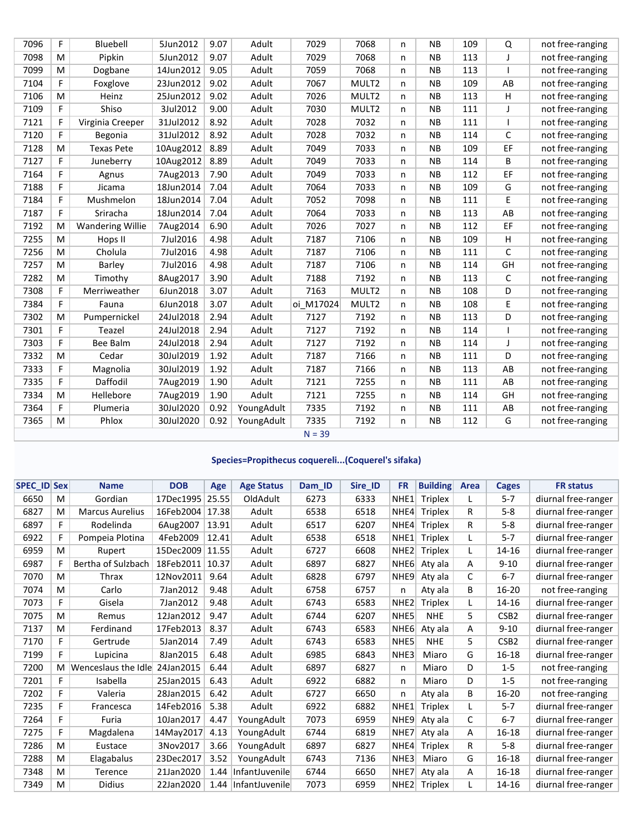|      | F        | Bluebell                |           |      | Adult      |           |                   |   | <b>NB</b> | 109 |              |                  |
|------|----------|-------------------------|-----------|------|------------|-----------|-------------------|---|-----------|-----|--------------|------------------|
| 7096 |          |                         | 5Jun2012  | 9.07 |            | 7029      | 7068              | n |           |     | Q            | not free-ranging |
| 7098 | M        | Pipkin                  | 5Jun2012  | 9.07 | Adult      | 7029      | 7068              | n | <b>NB</b> | 113 | T            | not free-ranging |
| 7099 | M        | Dogbane                 | 14Jun2012 | 9.05 | Adult      | 7059      | 7068              | n | <b>NB</b> | 113 |              | not free-ranging |
| 7104 | F        | Foxglove                | 23Jun2012 | 9.02 | Adult      | 7067      | MULT <sub>2</sub> | n | <b>NB</b> | 109 | AB           | not free-ranging |
| 7106 | M        | Heinz                   | 25Jun2012 | 9.02 | Adult      | 7026      | MULT <sub>2</sub> | n | <b>NB</b> | 113 | H            | not free-ranging |
| 7109 | F        | Shiso                   | 3Jul2012  | 9.00 | Adult      | 7030      | MULT <sub>2</sub> | n | <b>NB</b> | 111 | J            | not free-ranging |
| 7121 | F        | Virginia Creeper        | 31Jul2012 | 8.92 | Adult      | 7028      | 7032              | n | <b>NB</b> | 111 |              | not free-ranging |
| 7120 | F        | Begonia                 | 31Jul2012 | 8.92 | Adult      | 7028      | 7032              | n | <b>NB</b> | 114 | C            | not free-ranging |
| 7128 | M        | <b>Texas Pete</b>       | 10Aug2012 | 8.89 | Adult      | 7049      | 7033              | n | <b>NB</b> | 109 | EF           | not free-ranging |
| 7127 | F        | Juneberry               | 10Aug2012 | 8.89 | Adult      | 7049      | 7033              | n | <b>NB</b> | 114 | B            | not free-ranging |
| 7164 | F        | Agnus                   | 7Aug2013  | 7.90 | Adult      | 7049      | 7033              | n | <b>NB</b> | 112 | EF           | not free-ranging |
| 7188 | F        | Jicama                  | 18Jun2014 | 7.04 | Adult      | 7064      | 7033              | n | <b>NB</b> | 109 | G            | not free-ranging |
| 7184 | F        | Mushmelon               | 18Jun2014 | 7.04 | Adult      | 7052      | 7098              | n | <b>NB</b> | 111 | E            | not free-ranging |
| 7187 | F        | Sriracha                | 18Jun2014 | 7.04 | Adult      | 7064      | 7033              | n | <b>NB</b> | 113 | AB           | not free-ranging |
| 7192 | M        | <b>Wandering Willie</b> | 7Aug2014  | 6.90 | Adult      | 7026      | 7027              | n | <b>NB</b> | 112 | EF           | not free-ranging |
| 7255 | M        | Hops II                 | 7Jul2016  | 4.98 | Adult      | 7187      | 7106              | n | <b>NB</b> | 109 | н            | not free-ranging |
| 7256 | M        | Cholula                 | 7Jul2016  | 4.98 | Adult      | 7187      | 7106              | n | <b>NB</b> | 111 | $\mathsf{C}$ | not free-ranging |
| 7257 | M        | Barley                  | 7Jul2016  | 4.98 | Adult      | 7187      | 7106              | n | <b>NB</b> | 114 | GH           | not free-ranging |
| 7282 | M        | Timothy                 | 8Aug2017  | 3.90 | Adult      | 7188      | 7192              | n | <b>NB</b> | 113 | $\mathsf{C}$ | not free-ranging |
| 7308 | F        | Merriweather            | 6Jun2018  | 3.07 | Adult      | 7163      | MULT2             | n | <b>NB</b> | 108 | D            | not free-ranging |
| 7384 | F        | Fauna                   | 6Jun2018  | 3.07 | Adult      | oi M17024 | MULT2             | n | <b>NB</b> | 108 | E            | not free-ranging |
| 7302 | M        | Pumpernickel            | 24Jul2018 | 2.94 | Adult      | 7127      | 7192              | n | <b>NB</b> | 113 | D            | not free-ranging |
| 7301 | F        | Teazel                  | 24Jul2018 | 2.94 | Adult      | 7127      | 7192              | n | <b>NB</b> | 114 |              | not free-ranging |
| 7303 | F        | <b>Bee Balm</b>         | 24Jul2018 | 2.94 | Adult      | 7127      | 7192              | n | <b>NB</b> | 114 | J            | not free-ranging |
| 7332 | M        | Cedar                   | 30Jul2019 | 1.92 | Adult      | 7187      | 7166              | n | <b>NB</b> | 111 | D            | not free-ranging |
| 7333 | F        | Magnolia                | 30Jul2019 | 1.92 | Adult      | 7187      | 7166              | n | <b>NB</b> | 113 | AB           | not free-ranging |
| 7335 | F        | Daffodil                | 7Aug2019  | 1.90 | Adult      | 7121      | 7255              | n | <b>NB</b> | 111 | AB           | not free-ranging |
| 7334 | M        | Hellebore               | 7Aug2019  | 1.90 | Adult      | 7121      | 7255              | n | <b>NB</b> | 114 | GH           | not free-ranging |
| 7364 | F        | Plumeria                | 30Jul2020 | 0.92 | YoungAdult | 7335      | 7192              | n | <b>NB</b> | 111 | AB           | not free-ranging |
| 7365 | M        | Phlox                   | 30Jul2020 | 0.92 | YoungAdult | 7335      | 7192              | n | <b>NB</b> | 112 | G            | not free-ranging |
|      | $N = 39$ |                         |           |      |            |           |                   |   |           |     |              |                  |

#### **Species=Propithecus coquereli...(Coquerel's sifaka)**

| <b>SPEC_ID Sex</b> |    | <b>Name</b>            | <b>DOB</b> | Age   | <b>Age Status</b> | Dam ID | Sire ID | <b>FR</b>        | <b>Building</b> | Area | Cages            | <b>FR</b> status    |
|--------------------|----|------------------------|------------|-------|-------------------|--------|---------|------------------|-----------------|------|------------------|---------------------|
| 6650               | M  | Gordian                | 17Dec1995  | 25.55 | OldAdult          | 6273   | 6333    | NHE <sub>1</sub> | <b>Triplex</b>  | L    | $5 - 7$          | diurnal free-ranger |
| 6827               | M  | <b>Marcus Aurelius</b> | 16Feb2004  | 17.38 | Adult             | 6538   | 6518    | NHE4             | <b>Triplex</b>  | R    | $5 - 8$          | diurnal free-ranger |
| 6897               | F. | Rodelinda              | 6Aug2007   | 13.91 | Adult             | 6517   | 6207    | NHE4             | <b>Triplex</b>  | R    | $5 - 8$          | diurnal free-ranger |
| 6922               | F  | Pompeia Plotina        | 4Feb2009   | 12.41 | Adult             | 6538   | 6518    | NHE <sub>1</sub> | <b>Triplex</b>  | L    | $5 - 7$          | diurnal free-ranger |
| 6959               | M  | Rupert                 | 15Dec2009  | 11.55 | Adult             | 6727   | 6608    | NHE <sub>2</sub> | <b>Triplex</b>  | L    | $14 - 16$        | diurnal free-ranger |
| 6987               | F  | Bertha of Sulzbach     | 18Feb2011  | 10.37 | Adult             | 6897   | 6827    | NHE <sub>6</sub> | Aty ala         | A    | $9 - 10$         | diurnal free-ranger |
| 7070               | M  | Thrax                  | 12Nov2011  | 9.64  | Adult             | 6828   | 6797    | NHE9             | Aty ala         | C    | $6 - 7$          | diurnal free-ranger |
| 7074               | M  | Carlo                  | 7Jan2012   | 9.48  | Adult             | 6758   | 6757    | n                | Aty ala         | В    | $16 - 20$        | not free-ranging    |
| 7073               | F. | Gisela                 | 7Jan2012   | 9.48  | Adult             | 6743   | 6583    | NHE <sub>2</sub> | <b>Triplex</b>  | L    | 14-16            | diurnal free-ranger |
| 7075               | M  | Remus                  | 12Jan2012  | 9.47  | Adult             | 6744   | 6207    | NHE5             | <b>NHE</b>      | 5.   | CSB <sub>2</sub> | diurnal free-ranger |
| 7137               | M  | Ferdinand              | 17Feb2013  | 8.37  | Adult             | 6743   | 6583    | NHE <sub>6</sub> | Aty ala         | A    | $9 - 10$         | diurnal free-ranger |
| 7170               | F  | Gertrude               | 5Jan2014   | 7.49  | Adult             | 6743   | 6583    | NHE5             | <b>NHE</b>      | 5.   | CSB <sub>2</sub> | diurnal free-ranger |
| 7199               | F  | Lupicina               | 8Jan2015   | 6.48  | Adult             | 6985   | 6843    | NHE3             | Miaro           | G    | $16 - 18$        | diurnal free-ranger |
| 7200               | M  | Wenceslaus the Idle    | 24Jan2015  | 6.44  | Adult             | 6897   | 6827    | n                | Miaro           | D    | $1 - 5$          | not free-ranging    |
| 7201               | F  | Isabella               | 25Jan2015  | 6.43  | Adult             | 6922   | 6882    | n                | Miaro           | D    | $1 - 5$          | not free-ranging    |
| 7202               | F  | Valeria                | 28Jan2015  | 6.42  | Adult             | 6727   | 6650    | n                | Aty ala         | В    | $16 - 20$        | not free-ranging    |
| 7235               | F  | Francesca              | 14Feb2016  | 5.38  | Adult             | 6922   | 6882    | NHE <sub>1</sub> | <b>Triplex</b>  | L    | $5 - 7$          | diurnal free-ranger |
| 7264               | F  | Furia                  | 10Jan2017  | 4.47  | YoungAdult        | 7073   | 6959    | NHE9             | Aty ala         | C    | $6 - 7$          | diurnal free-ranger |
| 7275               | F  | Magdalena              | 14May2017  | 4.13  | YoungAdult        | 6744   | 6819    | NHE7             | Aty ala         | A    | $16 - 18$        | diurnal free-ranger |
| 7286               | M  | Eustace                | 3Nov2017   | 3.66  | YoungAdult        | 6897   | 6827    | NHE4             | <b>Triplex</b>  | R    | $5 - 8$          | diurnal free-ranger |
| 7288               | M  | Elagabalus             | 23Dec2017  | 3.52  | YoungAdult        | 6743   | 7136    | NHE3             | Miaro           | G    | $16 - 18$        | diurnal free-ranger |
| 7348               | M  | Terence                | 21Jan2020  | 1.44  | InfantJuvenile    | 6744   | 6650    | NHE7             | Aty ala         | A    | 16-18            | diurnal free-ranger |
| 7349               | M  | Didius                 | 22Jan2020  | 1.44  | InfantJuvenile    | 7073   | 6959    | NHE <sub>2</sub> | <b>Triplex</b>  | L    | 14-16            | diurnal free-ranger |